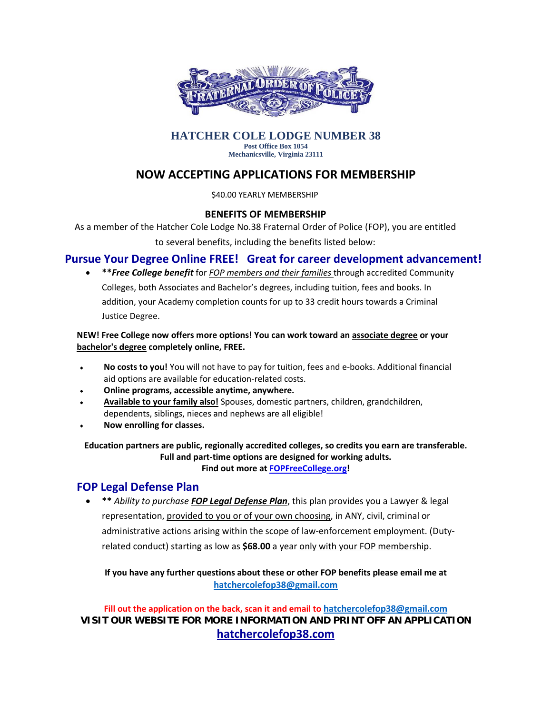

#### **HATCHER COLE LODGE NUMBER 38 Post Office Box 1054**

**Mechanicsville, Virginia 23111**

## **NOW ACCEPTING APPLICATIONS FOR MEMBERSHIP**

\$40.00 YEARLY MEMBERSHIP

### **BENEFITS OF MEMBERSHIP**

As a member of the Hatcher Cole Lodge No.38 Fraternal Order of Police (FOP), you are entitled

to several benefits, including the benefits listed below:

## **Pursue Your Degree Online FREE! Great for career development advancement!**

• **\*\****Free College benefit* for *FOP members and their families* through accredited Community Colleges, both Associates and Bachelor's degrees, including tuition, fees and books. In addition, your Academy completion counts for up to 33 credit hours towards a Criminal Justice Degree.

#### **NEW! Free College now offers more options! You can work toward an associate degree or your bachelor's degree completely online, FREE.**

- **No costs to you!** You will not have to pay for tuition, fees and e-books. Additional financial  $\bullet$ aid options are available for education-related costs.
- **Online programs, accessible anytime, anywhere.**
- **Available to your family also!** Spouses, domestic partners, children, grandchildren, dependents, siblings, nieces and nephews are all eligible!
- **Now enrolling for classes.**

**Education partners are public, regionally accredited colleges, so credits you earn are transferable. Full and part-time options are designed for working adults. Find out more at [FOPFreeCollege.org!](http://send.fop.net/link.cfm?r=xzft0cR_K2a4YB300k4SkA%7E%7E&pe=5S6GkvNuOzi1v1GcrkuOBqjr8qttiPmeGhzGvZ2CZ0DuRiUsT1tPEIHQ-8GeRH2KHrBRgOYf4GFeNQT7coSdhw%7E%7E&t=INSERT_TRACKING_ENCID)**

## **FOP Legal Defense Plan**

• **\*\*** *Ability to purchase FOP Legal Defense Plan*, this plan provides you a Lawyer & legal representation, provided to you or of your own choosing, in ANY, civil, criminal or administrative actions arising within the scope of law-enforcement employment. (Dutyrelated conduct) starting as low as **\$68.00** a year only with your FOP membership.

**If you have any further questions about these or other FOP benefits please email me at [hatchercolefop38@gmail.com](mailto:hatchercolefop38@gmail.com)**

**Fill out the application on the back, scan it and email to [hatchercolefop38@gmail.com](mailto:hatchercolefop38@gmail.com) VISIT OUR WEBSITE FOR MORE INFORMATION AND PRINT OFF AN APPLICATION hatchercolefop38.com**